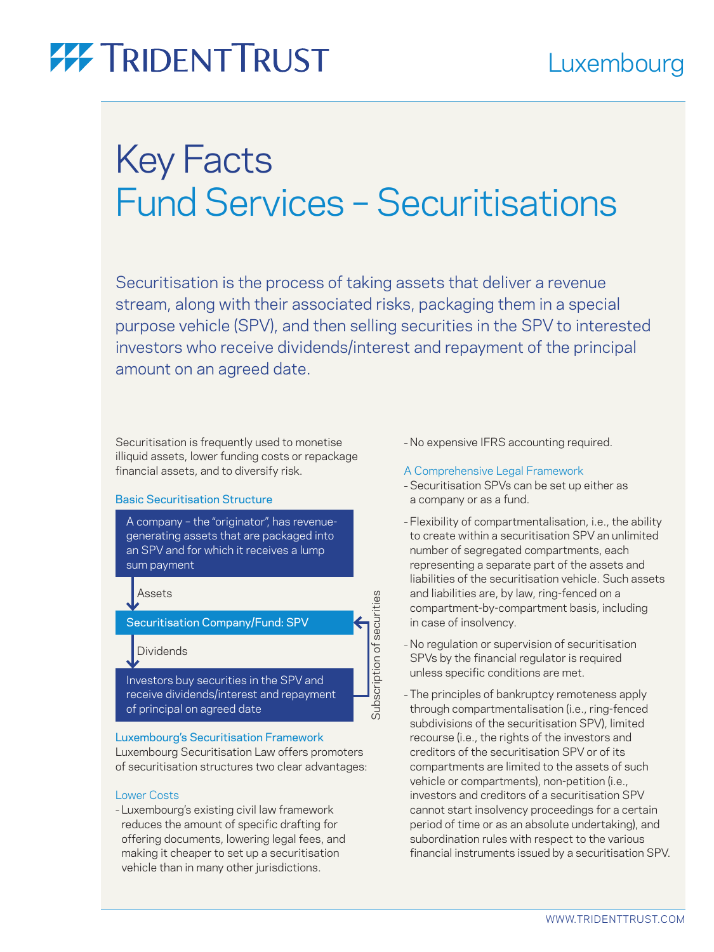# **77 TRIDENT TRUST**

# Key Facts Fund Services – Securitisations

Securitisation is the process of taking assets that deliver a revenue stream, along with their associated risks, packaging them in a special purpose vehicle (SPV), and then selling securities in the SPV to interested investors who receive dividends/interest and repayment of the principal amount on an agreed date.

Subscription of securities

Subscription of securities

Securitisation is frequently used to monetise illiquid assets, lower funding costs or repackage financial assets, and to diversify risk.

## Basic Securitisation Structure

A company – the "originator", has revenuegenerating assets that are packaged into an SPV and for which it receives a lump sum payment

Assets

Securitisation Company/Fund: SPV

# Dividends

Investors buy securities in the SPV and receive dividends/interest and repayment of principal on agreed date

## Luxembourg's Securitisation Framework

Luxembourg Securitisation Law offers promoters of securitisation structures two clear advantages:

## Lower Costs

– Luxembourg's existing civil law framework reduces the amount of specific drafting for offering documents, lowering legal fees, and making it cheaper to set up a securitisation vehicle than in many other jurisdictions.

– No expensive IFRS accounting required.

## A Comprehensive Legal Framework

- Securitisation SPVs can be set up either as a company or as a fund.
- Flexibility of compartmentalisation, i.e., the ability to create within a securitisation SPV an unlimited number of segregated compartments, each representing a separate part of the assets and liabilities of the securitisation vehicle. Such assets and liabilities are, by law, ring-fenced on a compartment-by-compartment basis, including in case of insolvency.
- No regulation or supervision of securitisation SPVs by the financial regulator is required unless specific conditions are met.
- The principles of bankruptcy remoteness apply through compartmentalisation (i.e., ring-fenced subdivisions of the securitisation SPV), limited recourse (i.e., the rights of the investors and creditors of the securitisation SPV or of its compartments are limited to the assets of such vehicle or compartments), non-petition (i.e., investors and creditors of a securitisation SPV cannot start insolvency proceedings for a certain period of time or as an absolute undertaking), and subordination rules with respect to the various financial instruments issued by a securitisation SPV.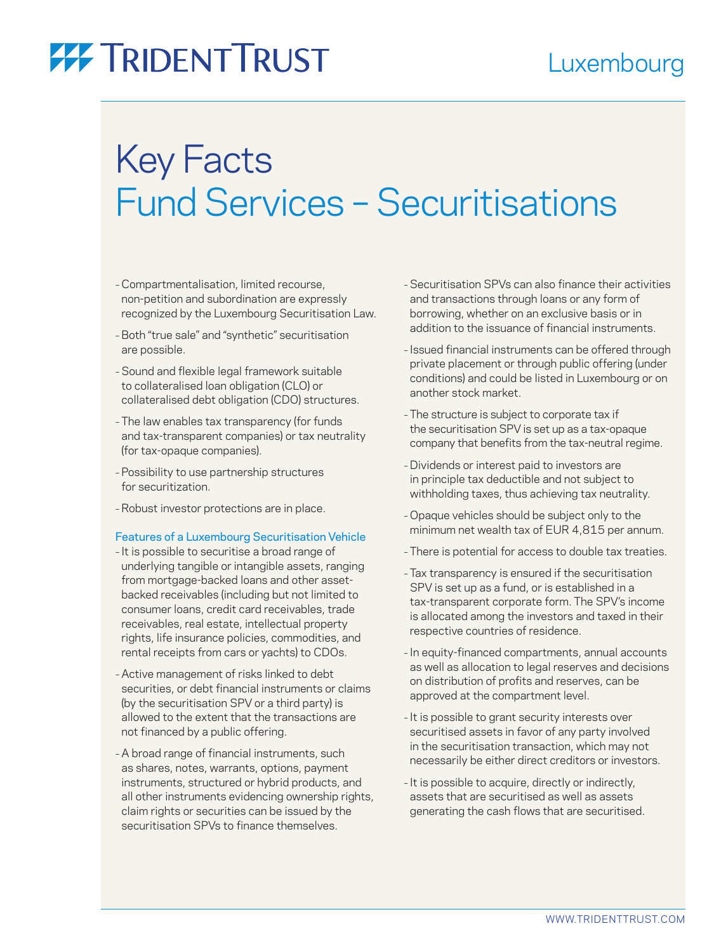# **77 TRIDENT TRUST**

# Key Facts Fund Services – Securitisations

- Compartmentalisation, limited recourse, non-petition and subordination are expressly recognized by the Luxembourg Securitisation Law.
- –Both "true sale" and "synthetic" securitisation are possible.
- Sound and flexible legal framework suitable to collateralised loan obligation (CLO) or collateralised debt obligation (CDO) structures.
- The law enables tax transparency (for funds and tax-transparent companies) or tax neutrality (for tax-opaque companies).
- Possibility to use partnership structures for securitization.
- Robust investor protections are in place.

## Features of a Luxembourg Securitisation Vehicle

- It is possible to securitise a broad range of underlying tangible or intangible assets, ranging from mortgage-backed loans and other assetbacked receivables (including but not limited to consumer loans, credit card receivables, trade receivables, real estate, intellectual property rights, life insurance policies, commodities, and rental receipts from cars or yachts) to CDOs.
- Active management of risks linked to debt securities, or debt financial instruments or claims (by the securitisation SPV or a third party) is allowed to the extent that the transactions are not financed by a public offering.
- A broad range of financial instruments, such as shares, notes, warrants, options, payment instruments, structured or hybrid products, and all other instruments evidencing ownership rights, claim rights or securities can be issued by the securitisation SPVs to finance themselves.
- Securitisation SPVs can also finance their activities and transactions through loans or any form of borrowing, whether on an exclusive basis or in addition to the issuance of financial instruments.
- Issued financial instruments can be offered through private placement or through public offering (under conditions) and could be listed in Luxembourg or on another stock market.
- The structure is subject to corporate tax if the securitisation SPV is set up as a tax-opaque company that benefits from the tax-neutral regime.
- Dividends or interest paid to investors are in principle tax deductible and not subject to withholding taxes, thus achieving tax neutrality.
- Opaque vehicles should be subject only to the minimum net wealth tax of EUR 4,815 per annum.
- There is potential for access to double tax treaties.
- Tax transparency is ensured if the securitisation SPV is set up as a fund, or is established in a tax-transparent corporate form. The SPV's income is allocated among the investors and taxed in their respective countries of residence.
- In equity-financed compartments, annual accounts as well as allocation to legal reserves and decisions on distribution of profits and reserves, can be approved at the compartment level.
- It is possible to grant security interests over securitised assets in favor of any party involved in the securitisation transaction, which may not necessarily be either direct creditors or investors.
- It is possible to acquire, directly or indirectly, assets that are securitised as well as assets generating the cash flows that are securitised.